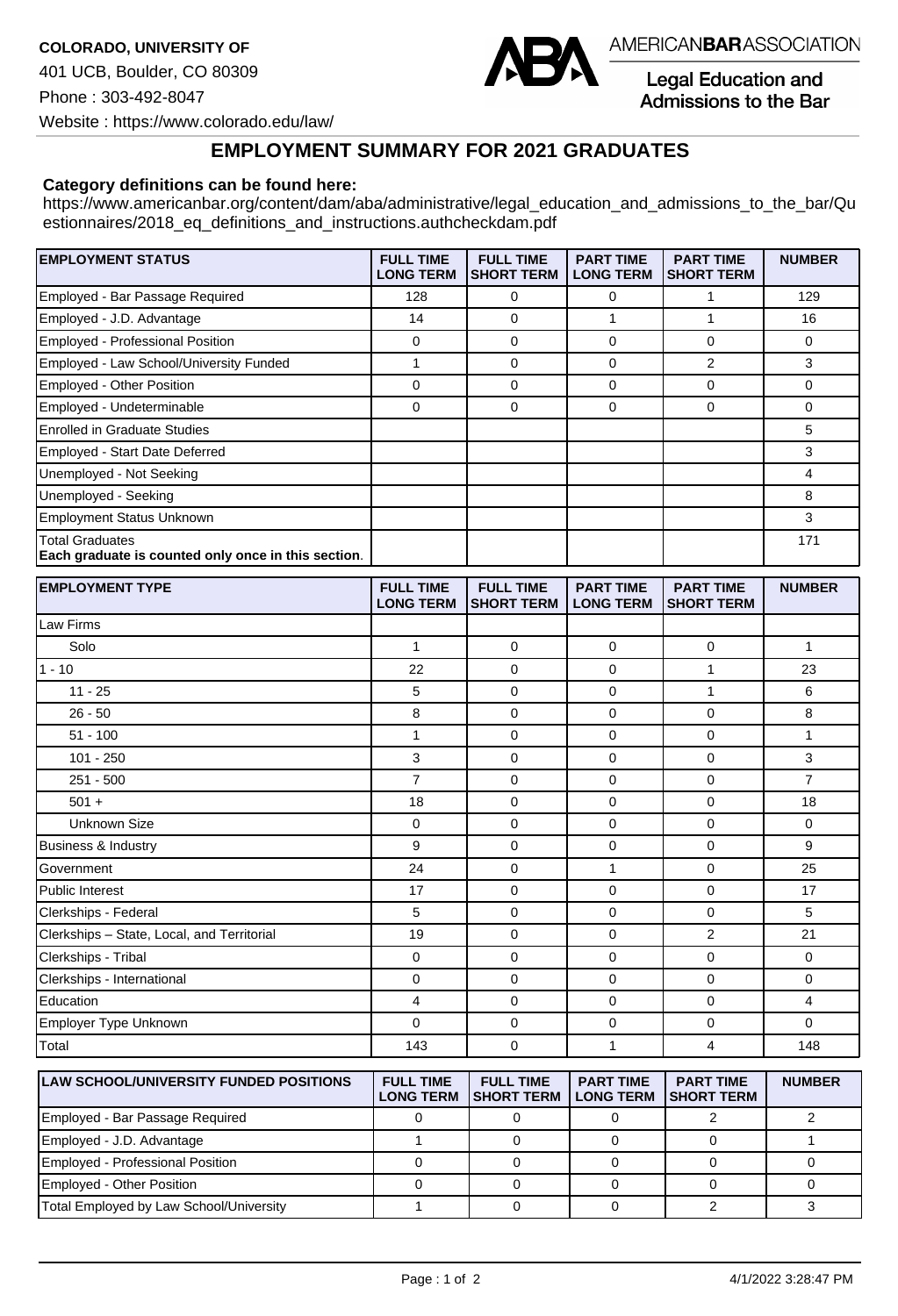

**Legal Education and** Admissions to the Bar

Website : https://www.colorado.edu/law/

## **EMPLOYMENT SUMMARY FOR 2021 GRADUATES**

## **Category definitions can be found here:**

https://www.americanbar.org/content/dam/aba/administrative/legal\_education\_and\_admissions\_to\_the\_bar/Qu estionnaires/2018\_eq\_definitions\_and\_instructions.authcheckdam.pdf

| <b>EMPLOYMENT STATUS</b>                                                      | <b>FULL TIME</b><br><b>LONG TERM</b> | <b>FULL TIME</b><br><b>SHORT TERM</b> | <b>PART TIME</b><br><b>LONG TERM</b> | <b>PART TIME</b><br><b>SHORT TERM</b> | <b>NUMBER</b>  |
|-------------------------------------------------------------------------------|--------------------------------------|---------------------------------------|--------------------------------------|---------------------------------------|----------------|
| Employed - Bar Passage Required                                               | 128                                  | 0                                     | 0                                    | 1                                     | 129            |
| Employed - J.D. Advantage                                                     | 14                                   | $\Omega$                              | $\mathbf{1}$                         | $\mathbf{1}$                          | 16             |
| Employed - Professional Position                                              | $\mathbf 0$                          | $\mathbf 0$                           | $\mathbf 0$                          | 0                                     | 0              |
| Employed - Law School/University Funded                                       | 1                                    | $\Omega$                              | 0                                    | $\overline{2}$                        | 3              |
| Employed - Other Position                                                     | $\mathbf 0$                          | $\mathbf 0$                           | $\mathbf 0$                          | 0                                     | $\Omega$       |
| Employed - Undeterminable                                                     | $\mathbf 0$                          | $\mathbf 0$                           | $\mathbf 0$                          | 0                                     | $\Omega$       |
| <b>Enrolled in Graduate Studies</b>                                           |                                      |                                       |                                      |                                       | 5              |
| Employed - Start Date Deferred                                                |                                      |                                       |                                      |                                       | 3              |
| Unemployed - Not Seeking                                                      |                                      |                                       |                                      |                                       | 4              |
| Unemployed - Seeking                                                          |                                      |                                       |                                      |                                       | 8              |
| <b>Employment Status Unknown</b>                                              |                                      |                                       |                                      |                                       | 3              |
| <b>Total Graduates</b><br>Each graduate is counted only once in this section. |                                      |                                       |                                      |                                       | 171            |
| <b>EMPLOYMENT TYPE</b>                                                        | <b>FULL TIME</b><br><b>LONG TERM</b> | <b>FULL TIME</b><br><b>SHORT TERM</b> | <b>PART TIME</b><br><b>LONG TERM</b> | <b>PART TIME</b><br><b>SHORT TERM</b> | <b>NUMBER</b>  |
| Law Firms                                                                     |                                      |                                       |                                      |                                       |                |
| Solo                                                                          | $\mathbf{1}$                         | $\Omega$                              | $\Omega$                             | $\Omega$                              | $\mathbf{1}$   |
| $1 - 10$                                                                      | 22                                   | $\Omega$                              | $\Omega$                             | $\mathbf{1}$                          | 23             |
| $11 - 25$                                                                     | 5                                    | $\Omega$                              | $\Omega$                             | $\mathbf{1}$                          | 6              |
| $26 - 50$                                                                     | 8                                    | $\mathbf 0$                           | $\mathbf 0$                          | $\overline{0}$                        | 8              |
| $51 - 100$                                                                    | $\mathbf{1}$                         | $\mathbf 0$                           | $\mathbf 0$                          | 0                                     | 1              |
| $101 - 250$                                                                   | 3                                    | $\Omega$                              | $\Omega$                             | $\Omega$                              | 3              |
| $251 - 500$                                                                   | $\overline{7}$                       | $\Omega$                              | $\Omega$                             | $\overline{0}$                        | $\overline{7}$ |
| $501 +$                                                                       | 18                                   | $\Omega$                              | $\Omega$                             | $\Omega$                              | 18             |
| <b>Unknown Size</b>                                                           | $\Omega$                             | $\Omega$                              | $\Omega$                             | $\Omega$                              | $\Omega$       |
| <b>Business &amp; Industry</b>                                                | 9                                    | $\mathbf 0$                           | $\mathbf 0$                          | 0                                     | 9              |
| Government                                                                    | 24                                   | $\Omega$                              | $\mathbf{1}$                         | $\Omega$                              | 25             |
| <b>Public Interest</b>                                                        | 17                                   | $\mathbf 0$                           | $\mathbf 0$                          | $\Omega$                              | 17             |
| Clerkships - Federal                                                          | 5                                    | $\mathbf 0$                           | 0                                    | 0                                     | 5              |
| Clerkships - State, Local, and Territorial                                    | 19                                   | $\Omega$                              | $\mathbf 0$                          | $\overline{2}$                        | 21             |

| Clerkships - Tribal        |     |  |     |
|----------------------------|-----|--|-----|
| Clerkships - International |     |  |     |
| Education                  |     |  |     |
| Employer Type Unknown      |     |  |     |
| Total                      | 143 |  | 148 |

| <b>ILAW SCHOOL/UNIVERSITY FUNDED POSITIONS</b> | <b>FULL TIME</b><br><b>LONG TERM</b> | <b>FULL TIME</b><br><b>ISHORT TERM I</b> | <b>PART TIME</b><br><b>LONG TERM</b> | <b>PART TIME</b><br>ISHORT TERM | <b>NUMBER</b> |
|------------------------------------------------|--------------------------------------|------------------------------------------|--------------------------------------|---------------------------------|---------------|
| Employed - Bar Passage Required                |                                      |                                          |                                      |                                 |               |
| Employed - J.D. Advantage                      |                                      |                                          |                                      |                                 |               |
| Employed - Professional Position               |                                      |                                          |                                      |                                 |               |
| Employed - Other Position                      |                                      |                                          |                                      |                                 |               |
| Total Employed by Law School/University        |                                      |                                          |                                      |                                 |               |